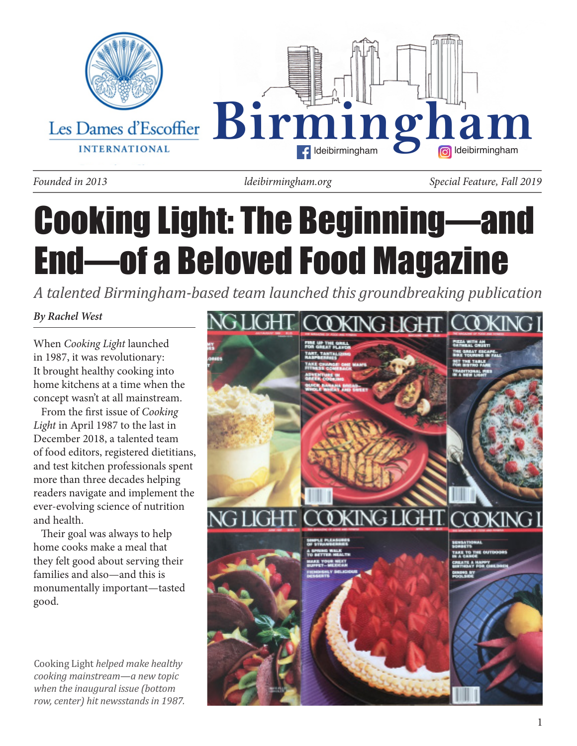

*ldeibirmingham.org*

*Founded in 2013 Special Feature, Fall 2019*

# Cooking Light: The Beginning—and End—of a Beloved Food Magazine

*A talented Birmingham-based team launched this groundbreaking publication*

*By Rachel West*

When *Cooking Light* launched in 1987, it was revolutionary: It brought healthy cooking into home kitchens at a time when the concept wasn't at all mainstream.

 From the first issue of *Cooking Light* in April 1987 to the last in December 2018, a talented team of food editors, registered dietitians, and test kitchen professionals spent more than three decades helping readers navigate and implement the ever-evolving science of nutrition and health.

 Their goal was always to help home cooks make a meal that they felt good about serving their families and also—and this is monumentally important—tasted good.

Cooking Light *helped make healthy cooking mainstream—a new topic when the inaugural issue (bottom row, center) hit newsstands in 1987.*

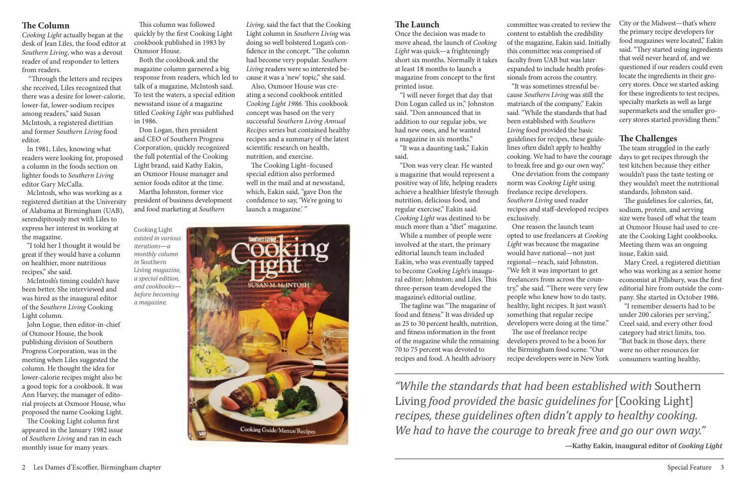# **The Column**

*Cooking Light* actually began at the desk of Jean Liles, the food editor at *Southern Living*, who was a devout reader of and responder to letters from readers.

 "Through the letters and recipes she received, Liles recognized that there was a desire for lower-calorie, lower-fat, lower-sodium recipes among readers," said Susan McIntosh, a registered dietitian and former *Southern Living* food editor.

 In 1981, Liles, knowing what readers were looking for, proposed a column in the foods section on lighter foods to *Southern Living*  editor Gary McCalla.

 McIntosh, who was working as a registered dietitian at the University of Alabama at Birmingham (UAB), serendipitously met with Liles to express her interest in working at the magazine.

 "I told her I thought it would be great if they would have a column on healthier, more nutritious recipes," she said.

 McIntosh's timing couldn't have been better. She interviewed and was hired as the inaugural editor of the S*outhern Living* Cooking Light column.

 John Logue, then editor-in-chief of Oxmoor House, the book publishing division of Southern Progress Corporation, was in the meeting when Liles suggested the column. He thought the idea for lower-calorie recipes might also be a good topic for a cookbook. It was Ann Harvey, the manager of editorial projects at Oxmoor House, who proposed the name Cooking Light.

 The Cooking Light–focused special edition also performed well in the mail and at newsstand, which, Eakin said, "gave Don the confidence to say, 'We're going to launch a magazine.'"



 The Cooking Light column first appeared in the January 1982 issue of *Southern Living* and ran in each monthly issue for many years.

 This column was followed quickly by the first Cooking Light cookbook published in 1983 by Oxmoor House.

 Both the cookbook and the magazine column garnered a big response from readers, which led to talk of a magazine, McIntosh said. To test the waters, a special edition newsstand issue of a magazine titled *Cooking Light* was published in 1986.

 Don Logan, then president and CEO of Southern Progress Corporation, quickly recognized the full potential of the Cooking Light brand, said Kathy Eakin, an Oxmoor House manager and senior foods editor at the time. Martha Johnston, former vice

president of business development and food marketing at *Southern* 

*Living,* said the fact that the Cooking Light column in *Southern Living* was doing so well bolstered Logan's confidence in the concept. "The column had become very popular. *Southern Living* readers were so interested because it was a 'new' topic," she said.

 Also, Oxmoor House was creating a second cookbook entitled *Cooking Light 1986.* This cookbook concept was based on the very successful *Southern Living Annual Recipes* series but contained healthy recipes and a summary of the latest scientific research on health, nutrition, and exercise.

## **The Launch**

Once the decision was made to move ahead, the launch of *Cooking Light* was quick—a frighteningly short six months. Normally it takes at least 18 months to launch a magazine from concept to the first printed issue.

 "I will never forget that day that Don Logan called us in," Johnston said. "Don announced that in addition to our regular jobs, we had new ones, and he wanted a magazine in six months."

 "It was a daunting task," Eakin said.

 "Don was very clear. He wanted a magazine that would represent a positive way of life, helping readers achieve a healthier lifestyle through nutrition, delicious food, and regular exercise," Eakin said. *Cooking Light* was destined to be much more than a "diet" magazine.

 While a number of people were involved at the start, the primary editorial launch team included Eakin, who was eventually tapped to become *Cooking Light*'s inaugural editor; Johnston; and Liles. This three-person team developed the magazine's editorial outline.

 The tagline was "The magazine of food and fitness." It was divided up as 25 to 30 percent health, nutrition, and fitness information in the front of the magazine while the remaining 70 to 75 percent was devoted to recipes and food. A health advisory

committee was created to review the content to establish the credibility of the magazine, Eakin said. Initially this committee was comprised of faculty from UAB but was later expanded to include health professionals from across the country. "It was sometimes stressful because *Southern Living* was still the matriarch of the company," Eakin said. "While the standards that had been established with *Southern Living* food provided the basic guidelines for recipes, these guidelines often didn't apply to healthy cooking. We had to have the courage to break free and go our own way." One deviation from the company norm was *Cooking Light* using freelance recipe developers. *Southern Living* used reader recipes and staff-developed recipes

exclusively.

 One reason the launch team The use of freelance recipe

opted to use freelancers at *Cooking Light* was because the magazine would have national—not just regional—reach, said Johnston. "We felt it was important to get freelancers from across the country," she said. "There were very few people who knew how to do tasty, healthy, light recipes. It just wasn't something that regular recipe developers were doing at the time." developers proved to be a boon for the Birmingham food scene. "Our recipe developers were in New York City or the Midwest—that's where the primary recipe developers for food magazines were located," Eakin said. "They started using ingredients that we'd never heard of, and we questioned if our readers could even locate the ingredients in their grocery stores. Once we started asking for these ingredients to test recipes, specialty markets as well as large supermarkets and the smaller grocery stores started providing them."

# **The Challenges**

The team struggled in the early days to get recipes through the test kitchen because they either wouldn't pass the taste testing or they wouldn't meet the nutritional standards, Johnston said.

 The guidelines for calories, fat, sodium, protein, and serving size were based off what the team at Oxmoor House had used to create the Cooking Light cookbooks. Meeting them was an ongoing issue, Eakin said.

 Mary Creel, a registered dietitian who was working as a senior home economist at Pillsbury, was the first editorial hire from outside the company. She started in October 1986.

 "I remember desserts had to be under 200 calories per serving," Creel said, and every other food category had strict limits, too. "But back in those days, there were no other resources for consumers wanting healthy,

*"While the standards that had been established with* Southern Living *food provided the basic guidelines for* [Cooking Light] *recipes, these guidelines often didn't apply to healthy cooking. We had to have the courage to break free and go our own way."*

**—Kathy Eakin, inaugural editor of** *Cooking Light*

Cooking Light *existed in various iterations—a monthly column in* Southern Living *magazine, a special edition, and cookbooks before becoming a magazine.*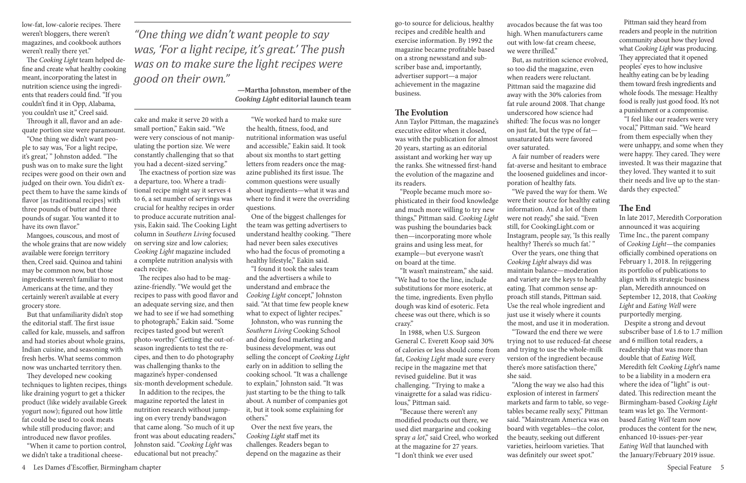low-fat, low-calorie recipes. There weren't bloggers, there weren't magazines, and cookbook authors weren't really there yet."

 The *Cooking Light* team helped define and create what healthy cooking meant, incorporating the latest in nutrition science using the ingredients that readers could find. "If you couldn't find it in Opp, Alabama, you couldn't use it," Creel said.

 Through it all, flavor and an adequate portion size were paramount.

 "One thing we didn't want people to say was, 'For a light recipe, it's great,' " Johnston added. "The push was on to make sure the light recipes were good on their own and judged on their own. You didn't expect them to have the same kinds of flavor [as traditional recipes] with three pounds of butter and three pounds of sugar. You wanted it to have its own flavor."

But that unfamiliarity didn't stop the editorial staff. The first issue called for kale, mussels, and saffron and had stories about whole grains, Indian cuisine, and seasoning with fresh herbs. What seems common now was uncharted territory then.

 Mangoes, couscous, and most of the whole grains that are now widely available were foreign territory then, Creel said. Quinoa and tahini may be common now, but those ingredients weren't familiar to most Americans at the time, and they certainly weren't available at every grocery store.

 They developed new cooking techniques to lighten recipes, things like draining yogurt to get a thicker product (like widely available Greek yogurt now); figured out how little fat could be used to cook meats while still producing flavor; and introduced new flavor profiles.

 "When it came to portion control, we didn't take a traditional cheese-

cake and make it serve 20 with a small portion," Eakin said. "We were very conscious of not manipulating the portion size. We were constantly challenging that so that you had a decent-sized serving."

 The exactness of portion size was a departure, too. Where a traditional recipe might say it serves 4 to 6, a set number of servings was crucial for healthy recipes in order to produce accurate nutrition analysis, Eakin said. The Cooking Light column in *Southern Living* focused on serving size and low calories; *Cooking Light* magazine included a complete nutrition analysis with each recipe.

 The recipes also had to be magazine-friendly. "We would get the recipes to pass with good flavor and an adequate serving size, and then we had to see if we had something to photograph," Eakin said. "Some recipes tasted good but weren't photo-worthy." Getting the out-ofseason ingredients to test the recipes, and then to do photography was challenging thanks to the magazine's hyper-condensed six-month development schedule.

 In addition to the recipes, the magazine reported the latest in nutrition research without jumping on every trendy bandwagon that came along. "So much of it up front was about educating readers," Johnston said. "*Cooking Light* was educational but not preachy."

 "We worked hard to make sure the health, fitness, food, and nutritional information was useful and accessible," Eakin said. It took about six months to start getting letters from readers once the magazine published its first issue. The common questions were usually about ingredients—what it was and where to find it were the overriding questions.

 One of the biggest challenges for the team was getting advertisers to understand healthy cooking. "There had never been sales executives who had the focus of promoting a healthy lifestyle," Eakin said.

 "I found it took the sales team and the advertisers a while to understand and embrace the *Cooking Light* concept," Johnston said. "At that time few people knew what to expect of lighter recipes."

 Johnston, who was running the *Southern Living* Cooking School and doing food marketing and business development, was out selling the concept of *Cooking Light*  early on in addition to selling the cooking school. "It was a challenge to explain," Johnston said. "It was just starting to be the thing to talk about. A number of companies got it, but it took some explaining for others."

 Over the next five years, the *Cooking Light* staff met its challenges. Readers began to depend on the magazine as their

go-to source for delicious, healthy recipes and credible health and exercise information. By 1992 the magazine became profitable based on a strong newsstand and subscriber base and, importantly, advertiser support—a major achievement in the magazine business.

#### **The Evolution**

Ann Taylor Pittman, the magazine's executive editor when it closed, was with the publication for almost 20 years, starting as an editorial assistant and working her way up the ranks. She witnessed first-hand the evolution of the magazine and its readers.

 "People became much more sophisticated in their food knowledge and much more willing to try new things," Pittman said. *Cooking Light*  was pushing the boundaries back then—incorporating more whole grains and using less meat, for example—but everyone wasn't on board at the time.

 "It wasn't mainstream," she said. "We had to toe the line, include substitutions for more esoteric, at the time, ingredients. Even phyllo dough was kind of esoteric. Feta cheese was out there, which is so crazy."

 In 1988, when U.S. Surgeon General C. Everett Koop said 30% of calories or less should come from fat, *Cooking Light* made sure every recipe in the magazine met that revised guideline. But it was challenging. "Trying to make a vinaigrette for a salad was ridiculous," Pittman said.

 "Because there weren't any modified products out there, we used diet margarine and cooking spray *a lot*," said Creel, who worked at the magazine for 27 years. "I don't think we ever used

avocados because the fat was too high. When manufacturers came out with low-fat cream cheese, we were thrilled."

 But, as nutrition science evolved, so too did the magazine, even when readers were reluctant. Pittman said the magazine did away with the 30% calories from fat rule around 2008. That change underscored how science had shifted: The focus was no longer on just fat, but the type of fat unsaturated fats were favored over saturated.

 A fair number of readers were fat-averse and hesitant to embrace the loosened guidelines and incorporation of healthy fats.

 "We paved the way for them. We were their source for healthy eating information. And a lot of them were not ready," she said. "Even still, for CookingLight.com or Instagram, people say, 'Is this really healthy? There's so much fat.'" Over the years, one thing that *Cooking Light* always did was maintain balance—moderation and variety are the keys to healthy eating. That common sense approach still stands, Pittman said. Use the real whole ingredient and just use it wisely where it counts the most, and use it in moderation. "Toward the end there we were trying not to use reduced-fat cheese and trying to use the whole-milk version of the ingredient because there's more satisfaction there,"

she said.

 "Along the way we also had this explosion of interest in farmers' markets and farm to table, so vegetables became really sexy," Pittman said. "Mainstream America was on board with vegetables—the color, the beauty, seeking out different varieties, heirloom varieties. That was definitely our sweet spot."

 Pittman said they heard from readers and people in the nutrition community about how they loved what *Cooking Light* was producing. They appreciated that it opened peoples' eyes to how inclusive healthy eating can be by leading them toward fresh ingredients and whole foods. The message: Healthy food is really just good food. It's not a punishment or a compromise.

 "I feel like our readers were very vocal," Pittman said. "We heard from them especially when they were unhappy, and some when they were happy. They cared. They were invested. It was their magazine that they loved. They wanted it to suit their needs and live up to the standards they expected."

### **The End**

In late 2017, Meredith Corporation announced it was acquiring Time Inc., the parent company of *Cooking Light*—the companies officially combined operations on February 1, 2018. In rejiggering its portfolio of publications to align with its strategic business plan, Meredith announced on September 12, 2018, that *Cooking Light* and *Eating Well* were purportedly merging.

 Despite a strong and devout subscriber base of 1.6 to 1.7 million and 6 million total readers, a readership that was more than double that of *Eating Well,*  Meredith felt *Cooking Light*'s name to be a liability in a modern era where the idea of "light" is outdated. This redirection meant the Birmingham-based *Cooking Light* team was let go. The Vermontbased *Eating Well* team now produces the content for the new, enhanced 10-issues-per-year *Eating Well* that launched with the January/February 2019 issue.

*"One thing we didn't want people to say was, 'For a light recipe, it's great.' The push was on to make sure the light recipes were good on their own."*

> **—Martha Johnston, member of the**  *Cooking Light* **editorial launch team**